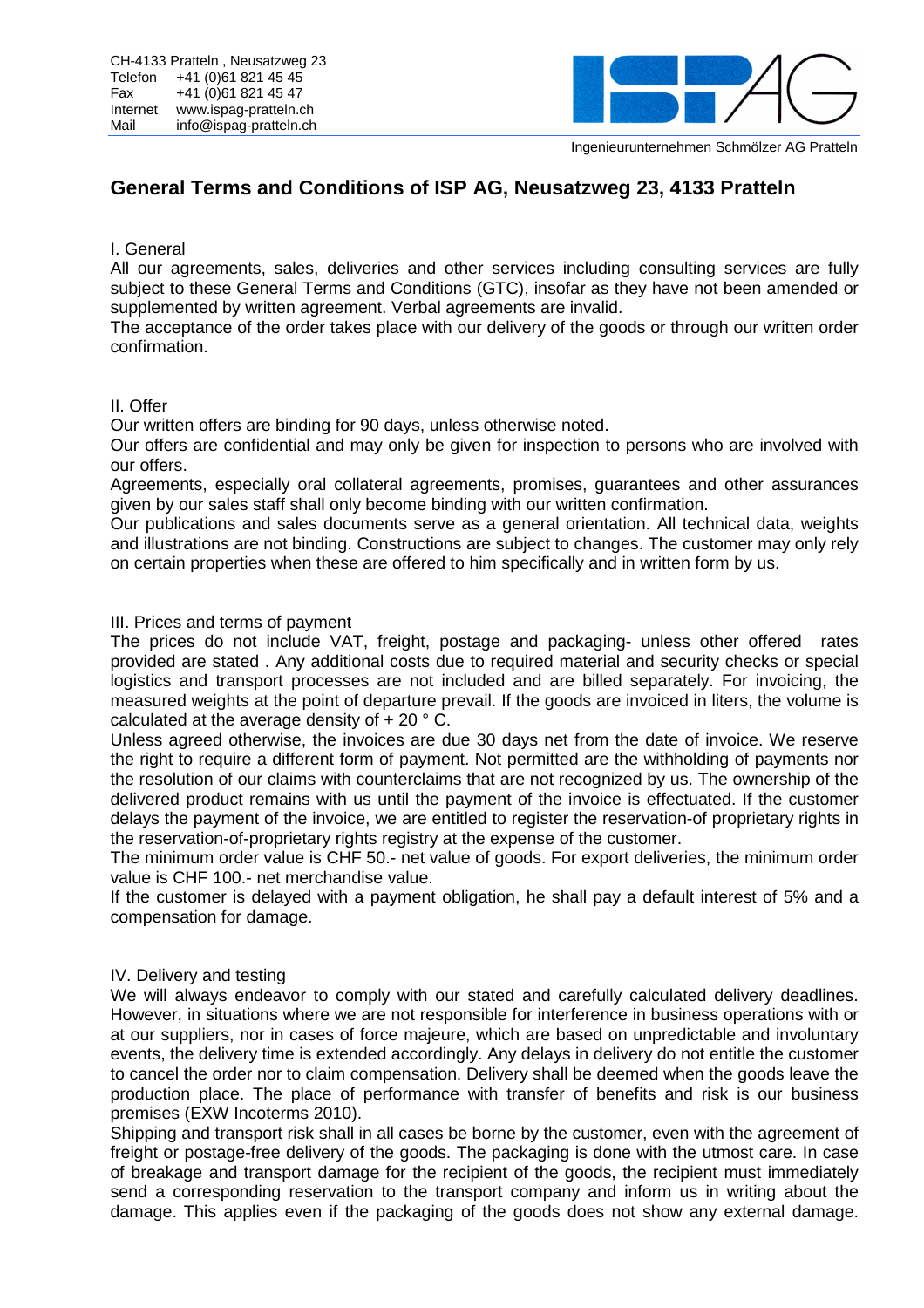

Ingenieurunternehmen Schmölzer AG Pratteln

# **General Terms and Conditions of ISP AG, Neusatzweg 23, 4133 Pratteln**

## I. General

All our agreements, sales, deliveries and other services including consulting services are fully subject to these General Terms and Conditions (GTC), insofar as they have not been amended or supplemented by written agreement. Verbal agreements are invalid.

The acceptance of the order takes place with our delivery of the goods or through our written order confirmation.

# II. Offer

Our written offers are binding for 90 days, unless otherwise noted.

Our offers are confidential and may only be given for inspection to persons who are involved with our offers.

Agreements, especially oral collateral agreements, promises, guarantees and other assurances given by our sales staff shall only become binding with our written confirmation.

Our publications and sales documents serve as a general orientation. All technical data, weights and illustrations are not binding. Constructions are subject to changes. The customer may only rely on certain properties when these are offered to him specifically and in written form by us.

## III. Prices and terms of payment

The prices do not include VAT, freight, postage and packaging- unless other offered rates provided are stated . Any additional costs due to required material and security checks or special logistics and transport processes are not included and are billed separately. For invoicing, the measured weights at the point of departure prevail. If the goods are invoiced in liters, the volume is calculated at the average density of  $+20$   $^{\circ}$  C.

Unless agreed otherwise, the invoices are due 30 days net from the date of invoice. We reserve the right to require a different form of payment. Not permitted are the withholding of payments nor the resolution of our claims with counterclaims that are not recognized by us. The ownership of the delivered product remains with us until the payment of the invoice is effectuated. If the customer delays the payment of the invoice, we are entitled to register the reservation-of proprietary rights in the reservation-of-proprietary rights registry at the expense of the customer.

The minimum order value is CHF 50.- net value of goods. For export deliveries, the minimum order value is CHF 100.- net merchandise value.

If the customer is delayed with a payment obligation, he shall pay a default interest of 5% and a compensation for damage.

#### IV. Delivery and testing

We will always endeavor to comply with our stated and carefully calculated delivery deadlines. However, in situations where we are not responsible for interference in business operations with or at our suppliers, nor in cases of force majeure, which are based on unpredictable and involuntary events, the delivery time is extended accordingly. Any delays in delivery do not entitle the customer to cancel the order nor to claim compensation. Delivery shall be deemed when the goods leave the production place. The place of performance with transfer of benefits and risk is our business premises (EXW Incoterms 2010).

Shipping and transport risk shall in all cases be borne by the customer, even with the agreement of freight or postage-free delivery of the goods. The packaging is done with the utmost care. In case of breakage and transport damage for the recipient of the goods, the recipient must immediately send a corresponding reservation to the transport company and inform us in writing about the damage. This applies even if the packaging of the goods does not show any external damage.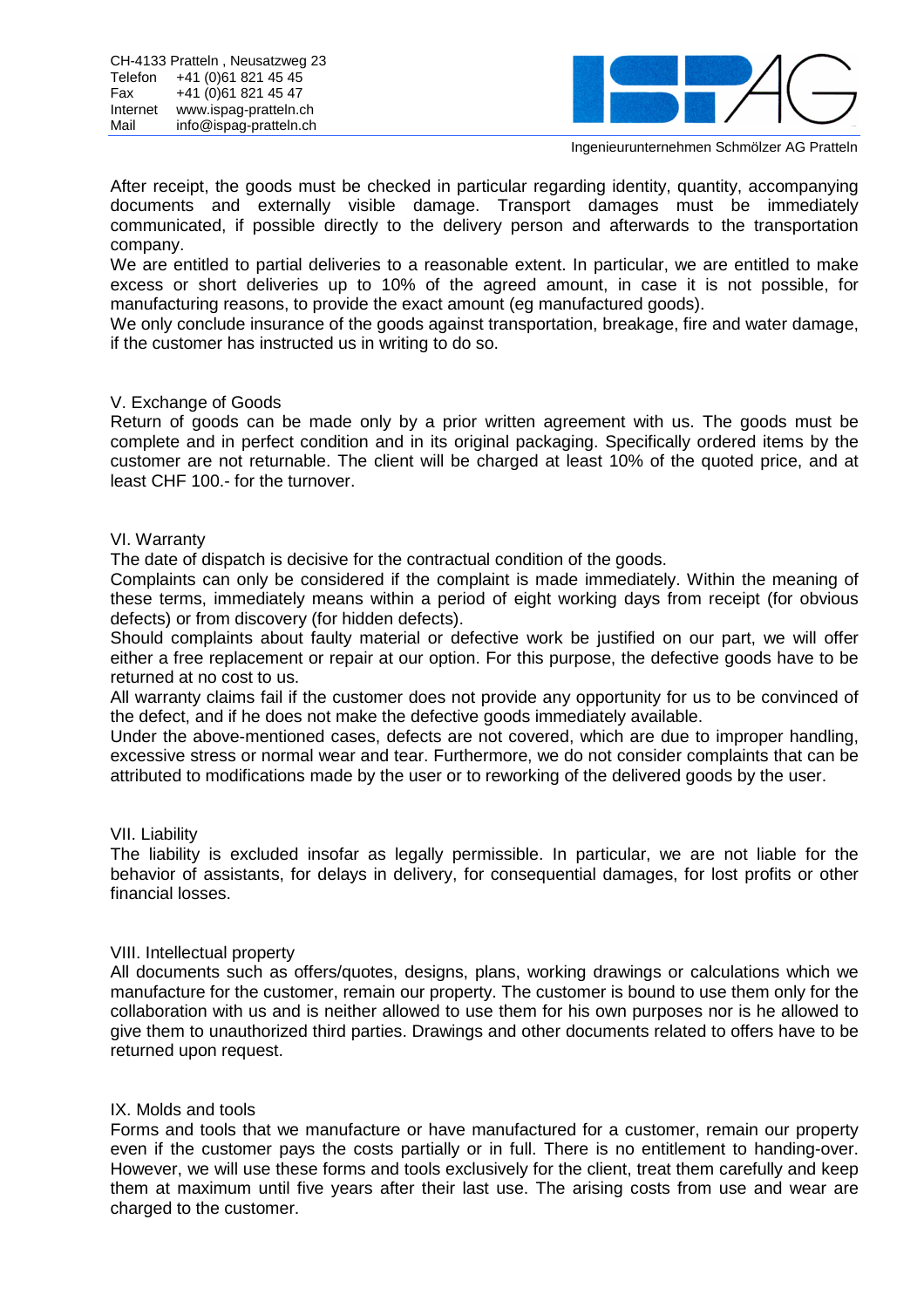

Ingenieurunternehmen Schmölzer AG Pratteln

After receipt, the goods must be checked in particular regarding identity, quantity, accompanying documents and externally visible damage. Transport damages must be immediately communicated, if possible directly to the delivery person and afterwards to the transportation company.

We are entitled to partial deliveries to a reasonable extent. In particular, we are entitled to make excess or short deliveries up to 10% of the agreed amount, in case it is not possible, for manufacturing reasons, to provide the exact amount (eg manufactured goods).

We only conclude insurance of the goods against transportation, breakage, fire and water damage, if the customer has instructed us in writing to do so.

## V. Exchange of Goods

Return of goods can be made only by a prior written agreement with us. The goods must be complete and in perfect condition and in its original packaging. Specifically ordered items by the customer are not returnable. The client will be charged at least 10% of the quoted price, and at least CHF 100.- for the turnover.

#### VI. Warranty

The date of dispatch is decisive for the contractual condition of the goods.

Complaints can only be considered if the complaint is made immediately. Within the meaning of these terms, immediately means within a period of eight working days from receipt (for obvious defects) or from discovery (for hidden defects).

Should complaints about faulty material or defective work be justified on our part, we will offer either a free replacement or repair at our option. For this purpose, the defective goods have to be returned at no cost to us.

All warranty claims fail if the customer does not provide any opportunity for us to be convinced of the defect, and if he does not make the defective goods immediately available.

Under the above-mentioned cases, defects are not covered, which are due to improper handling, excessive stress or normal wear and tear. Furthermore, we do not consider complaints that can be attributed to modifications made by the user or to reworking of the delivered goods by the user.

#### VII. Liability

The liability is excluded insofar as legally permissible. In particular, we are not liable for the behavior of assistants, for delays in delivery, for consequential damages, for lost profits or other financial losses.

#### VIII. Intellectual property

All documents such as offers/quotes, designs, plans, working drawings or calculations which we manufacture for the customer, remain our property. The customer is bound to use them only for the collaboration with us and is neither allowed to use them for his own purposes nor is he allowed to give them to unauthorized third parties. Drawings and other documents related to offers have to be returned upon request.

#### IX. Molds and tools

Forms and tools that we manufacture or have manufactured for a customer, remain our property even if the customer pays the costs partially or in full. There is no entitlement to handing-over. However, we will use these forms and tools exclusively for the client, treat them carefully and keep them at maximum until five years after their last use. The arising costs from use and wear are charged to the customer.